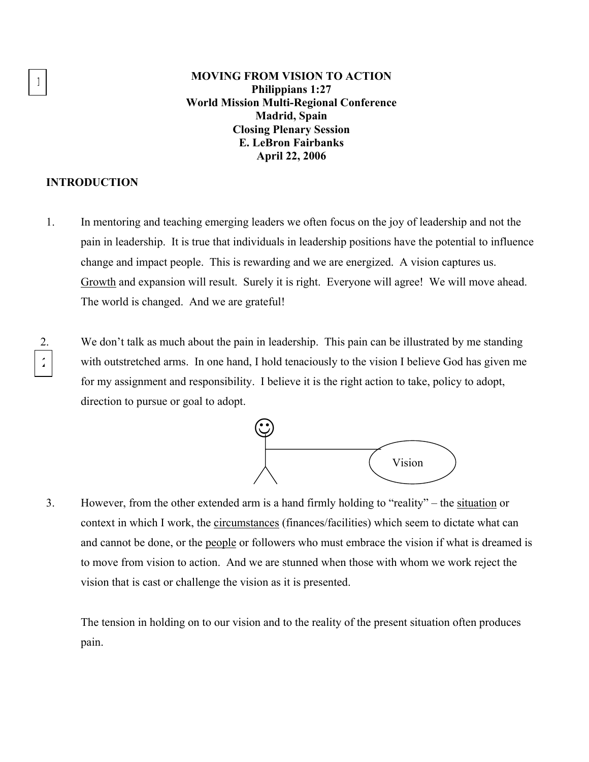**1 MOVING FROM VISION TO ACTION Philippians 1:27 World Mission Multi-Regional Conference Madrid, Spain Closing Plenary Session E. LeBron Fairbanks April 22, 2006** 

## **INTRODUCTION**

- 1. In mentoring and teaching emerging leaders we often focus on the joy of leadership and not the pain in leadership. It is true that individuals in leadership positions have the potential to influence change and impact people. This is rewarding and we are energized. A vision captures us. Growth and expansion will result. Surely it is right. Everyone will agree! We will move ahead. The world is changed. And we are grateful!
- 2. We don't talk as much about the pain in leadership. This pain can be illustrated by me standing with outstretched arms. In one hand, I hold tenaciously to the vision I believe God has given me for my assignment and responsibility. I believe it is the right action to take, policy to adopt, direction to pursue or goal to adopt. **2**



3. However, from the other extended arm is a hand firmly holding to "reality" – the situation or context in which I work, the circumstances (finances/facilities) which seem to dictate what can and cannot be done, or the people or followers who must embrace the vision if what is dreamed is to move from vision to action. And we are stunned when those with whom we work reject the vision that is cast or challenge the vision as it is presented.

The tension in holding on to our vision and to the reality of the present situation often produces pain.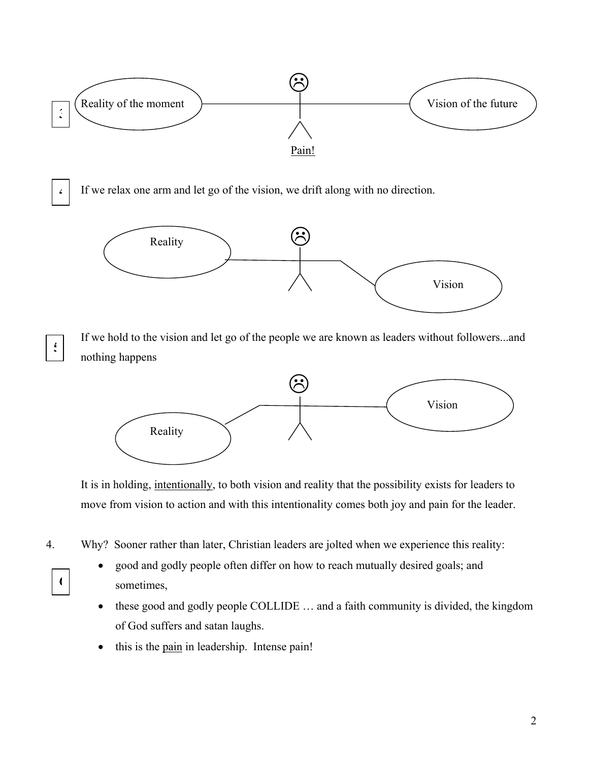

It is in holding, intentionally, to both vision and reality that the possibility exists for leaders to move from vision to action and with this intentionality comes both joy and pain for the leader.

- 4. Why? Sooner rather than later, Christian leaders are jolted when we experience this reality:
	-
- good and godly people often differ on how to reach mutually desired goals; and **6** sometimes,
	- these good and godly people COLLIDE ... and a faith community is divided, the kingdom of God suffers and satan laughs.
	- this is the pain in leadership. Intense pain!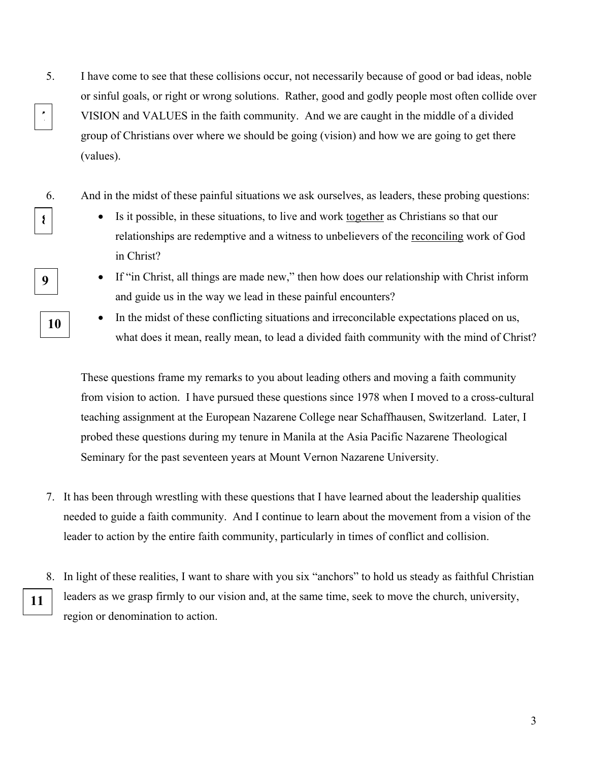- 5. I have come to see that these collisions occur, not necessarily because of good or bad ideas, noble or sinful goals, or right or wrong solutions. Rather, good and godly people most often collide over VISION and VALUES in the faith community. And we are caught in the middle of a divided group of Christians over where we should be going (vision) and how we are going to get there (values). **7**
	- 6. And in the midst of these painful situations we ask ourselves, as leaders, these probing questions:
- **8** Is it possible, in these situations, to live and work <u>together</u> as Christians so that our relationships are redemptive and a witness to unbelievers of the reconciling work of God in Christ?
- **9 •** If "in Christ, all things are made new," then how does our relationship with Christ inform and guide us in the way we lead in these painful encounters?
	- In the midst of these conflicting situations and irreconcilable expectations placed on us, what does it mean, really mean, to lead a divided faith community with the mind of Christ?

These questions frame my remarks to you about leading others and moving a faith community from vision to action. I have pursued these questions since 1978 when I moved to a cross-cultural teaching assignment at the European Nazarene College near Schaffhausen, Switzerland. Later, I probed these questions during my tenure in Manila at the Asia Pacific Nazarene Theological Seminary for the past seventeen years at Mount Vernon Nazarene University.

- 7. It has been through wrestling with these questions that I have learned about the leadership qualities needed to guide a faith community. And I continue to learn about the movement from a vision of the leader to action by the entire faith community, particularly in times of conflict and collision.
- 8. In light of these realities, I want to share with you six "anchors" to hold us steady as faithful Christian leaders as we grasp firmly to our vision and, at the same time, seek to move the church, university, region or denomination to action. **11**

**10**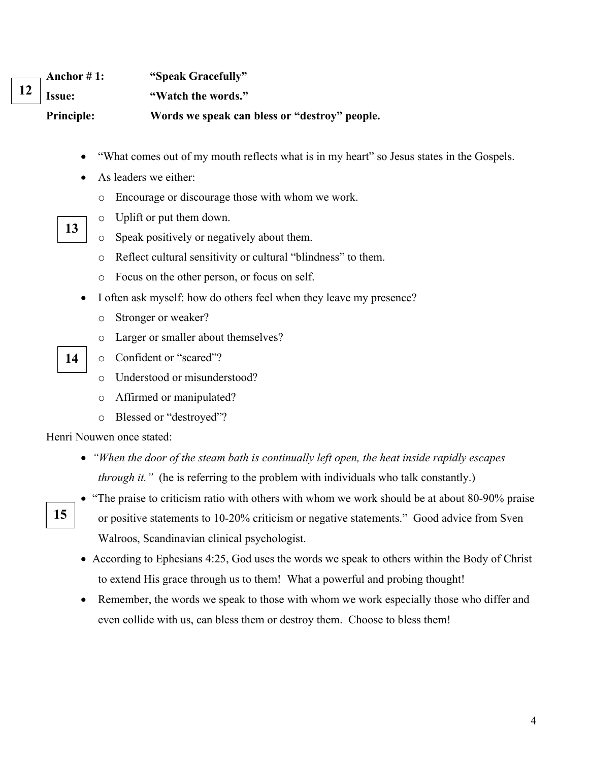| $\longrightarrow$ Anchor # 1: | "Speak Gracefully"                            |
|-------------------------------|-----------------------------------------------|
| $12$   Issue:                 | "Watch the words."                            |
| <b>Principle:</b>             | Words we speak can bless or "destroy" people. |

- "What comes out of my mouth reflects what is in my heart" so Jesus states in the Gospels.
- As leaders we either:
	- o Encourage or discourage those with whom we work.
- o Uplift or put them down. **13** 
	- o Speak positively or negatively about them.
		- o Reflect cultural sensitivity or cultural "blindness" to them.
		- o Focus on the other person, or focus on self.
	- I often ask myself: how do others feel when they leave my presence?
		- o Stronger or weaker?
		- o Larger or smaller about themselves?
- **14** o Confident or "scared"?
	- o Understood or misunderstood?
	- o Affirmed or manipulated?
	- o Blessed or "destroyed"?

Henri Nouwen once stated:

**15** 

- *"When the door of the steam bath is continually left open, the heat inside rapidly escapes through it.*" (he is referring to the problem with individuals who talk constantly.)
- "The praise to criticism ratio with others with whom we work should be at about 80-90% praise or positive statements to 10-20% criticism or negative statements." Good advice from Sven Walroos, Scandinavian clinical psychologist.
- According to Ephesians 4:25, God uses the words we speak to others within the Body of Christ to extend His grace through us to them! What a powerful and probing thought!
- Remember, the words we speak to those with whom we work especially those who differ and even collide with us, can bless them or destroy them. Choose to bless them!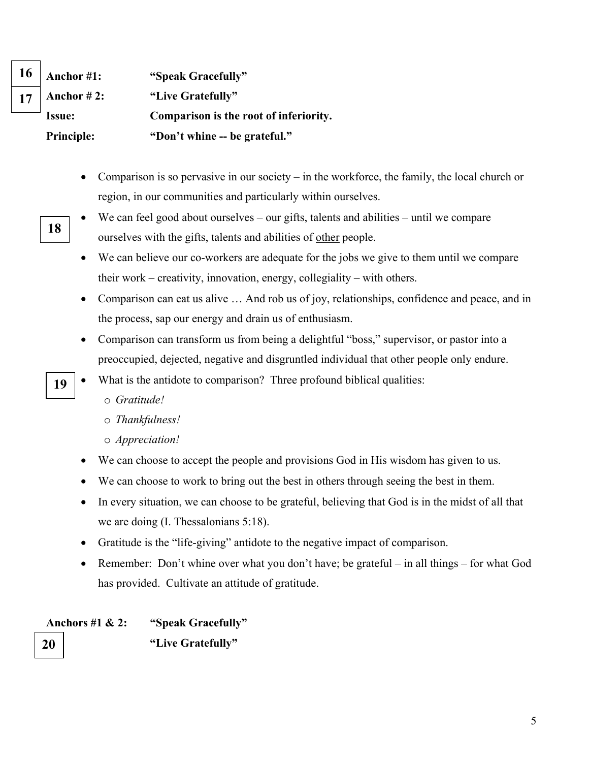|    | $16$   Anchor #1: | "Speak Gracefully"                     |
|----|-------------------|----------------------------------------|
| 17 | Anchor $#2$ :     | "Live Gratefully"                      |
|    | <b>Issue:</b>     | Comparison is the root of inferiority. |
|    | <b>Principle:</b> | "Don't whine -- be grateful."          |

- Comparison is so pervasive in our society in the workforce, the family, the local church or region, in our communities and particularly within ourselves.
- We can feel good about ourselves our gifts, talents and abilities until we compare **18** ourselves with the gifts, talents and abilities of other people.
	- We can believe our co-workers are adequate for the jobs we give to them until we compare their work – creativity, innovation, energy, collegiality – with others.
	- Comparison can eat us alive ... And rob us of joy, relationships, confidence and peace, and in the process, sap our energy and drain us of enthusiasm.
	- Comparison can transform us from being a delightful "boss," supervisor, or pastor into a preoccupied, dejected, negative and disgruntled individual that other people only endure.
- **19** What is the antidote to comparison? Three profound biblical qualities:
	- o *Gratitude!*
	- o *Thankfulness!*
	- o *Appreciation!*
	- We can choose to accept the people and provisions God in His wisdom has given to us.
	- We can choose to work to bring out the best in others through seeing the best in them.
	- In every situation, we can choose to be grateful, believing that God is in the midst of all that we are doing (I. Thessalonians 5:18).
	- Gratitude is the "life-giving" antidote to the negative impact of comparison.
	- Remember: Don't whine over what you don't have; be grateful in all things for what God has provided. Cultivate an attitude of gratitude.

**Anchors #1 & 2: "Speak Gracefully"** 

**20 Constant in the Constant of Transfer in the Constant of Transfer in the Constant of Transfer in the Constant of Transfer in the Constant of Transfer in the Constant of Transfer in the Constant of Transfer in the Cons**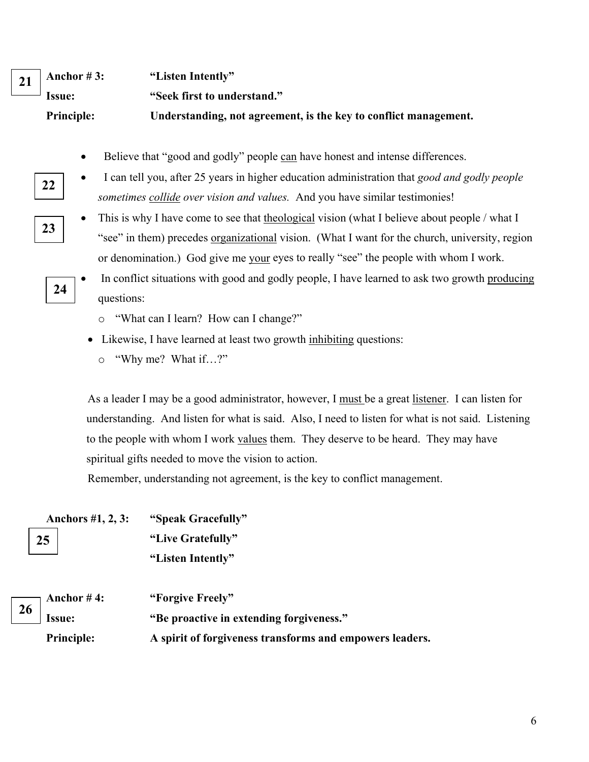| 21   Anchor #3:   | "Listen Intently"                                                |
|-------------------|------------------------------------------------------------------|
| $\equiv$ Issue:   | "Seek first to understand."                                      |
| <b>Principle:</b> | Understanding, not agreement, is the key to conflict management. |

- Believe that "good and godly" people can have honest and intense differences.
- I can tell you, after 25 years in higher education administration that *good and godly people sometimes collide over vision and values.* And you have similar testimonies!
- **23**

**22** 

- This is why I have come to see that theological vision (what I believe about people / what I "see" in them) precedes <u>organizational</u> vision. (What I want for the church, university, region or denomination.) God give me your eyes to really "see" the people with whom I work.
- In conflict situations with good and godly people, I have learned to ask two growth producing questions: **24** 
	- o "What can I learn? How can I change?"
	- Likewise, I have learned at least two growth inhibiting questions:
		- o "Why me? What if…?"

As a leader I may be a good administrator, however, I must be a great listener. I can listen for understanding. And listen for what is said. Also, I need to listen for what is not said. Listening to the people with whom I work values them. They deserve to be heard. They may have spiritual gifts needed to move the vision to action.

Remember, understanding not agreement, is the key to conflict management.

|    | Anchors #1, 2, 3: | "Speak Gracefully"                                       |
|----|-------------------|----------------------------------------------------------|
|    | 25                | "Live Gratefully"                                        |
|    |                   | "Listen Intently"                                        |
| 26 | Anchor $#4$ :     | "Forgive Freely"                                         |
|    | <b>Issue:</b>     | "Be proactive in extending forgiveness."                 |
|    | <b>Principle:</b> | A spirit of forgiveness transforms and empowers leaders. |
|    |                   |                                                          |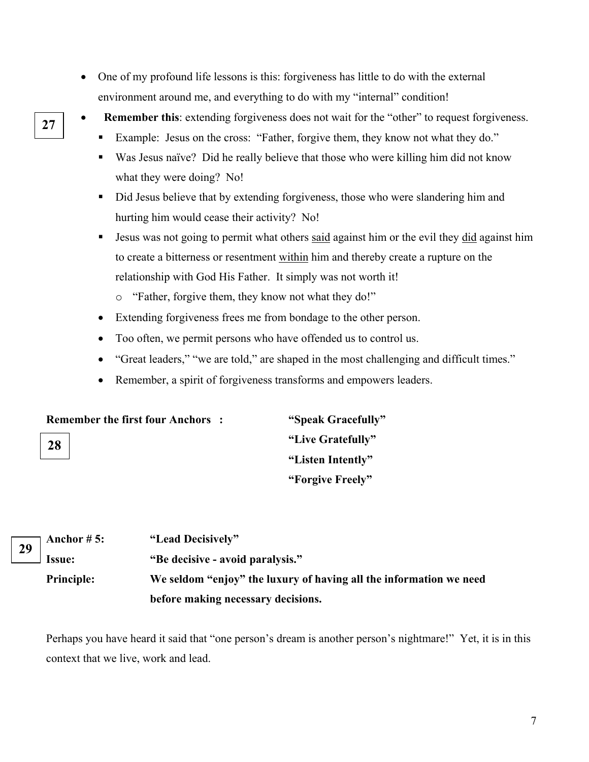- One of my profound life lessons is this: forgiveness has little to do with the external environment around me, and everything to do with my "internal" condition!
- 
- **• Remember this**: extending forgiveness does not wait for the "other" to request forgiveness.
	- Example: Jesus on the cross: "Father, forgive them, they know not what they do."
	- Was Jesus naïve? Did he really believe that those who were killing him did not know what they were doing? No!
	- Did Jesus believe that by extending forgiveness, those who were slandering him and hurting him would cease their activity? No!
	- **Jesus was not going to permit what others said against him or the evil they did against him** to create a bitterness or resentment within him and thereby create a rupture on the relationship with God His Father. It simply was not worth it!
		- o "Father, forgive them, they know not what they do!"
	- Extending forgiveness frees me from bondage to the other person.
	- Too often, we permit persons who have offended us to control us.
	- "Great leaders," "we are told," are shaped in the most challenging and difficult times."
	- Remember, a spirit of forgiveness transforms and empowers leaders.

| <b>Remember the first four Anchors:</b> | "Speak Gracefully" |
|-----------------------------------------|--------------------|
| 28                                      | "Live Gratefully"  |
|                                         | "Listen Intently"  |
|                                         | "Forgive Freely"   |

|  | $\overline{29}$ Anchor #5: | "Lead Decisively"                                                  |
|--|----------------------------|--------------------------------------------------------------------|
|  | <b>Issue:</b>              | "Be decisive - avoid paralysis."                                   |
|  | <b>Principle:</b>          | We seldom "enjoy" the luxury of having all the information we need |
|  |                            | before making necessary decisions.                                 |

Perhaps you have heard it said that "one person's dream is another person's nightmare!" Yet, it is in this context that we live, work and lead.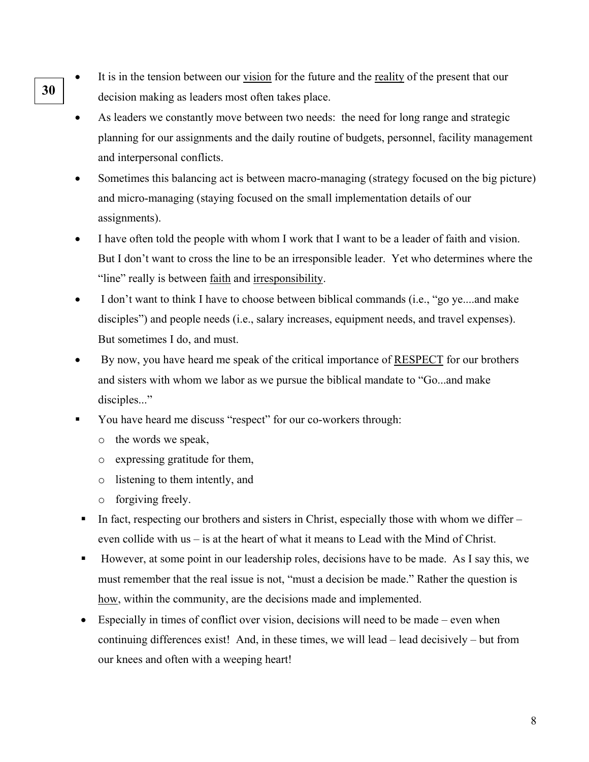- It is in the tension between our vision for the future and the reality of the present that our **30 decision making as leaders most often takes place.** 
	- As leaders we constantly move between two needs: the need for long range and strategic planning for our assignments and the daily routine of budgets, personnel, facility management and interpersonal conflicts.
	- Sometimes this balancing act is between macro-managing (strategy focused on the big picture) and micro-managing (staying focused on the small implementation details of our assignments).
	- I have often told the people with whom I work that I want to be a leader of faith and vision. But I don't want to cross the line to be an irresponsible leader. Yet who determines where the "line" really is between faith and irresponsibility.
	- I don't want to think I have to choose between biblical commands (i.e., "go ye....and make disciples") and people needs (i.e., salary increases, equipment needs, and travel expenses). But sometimes I do, and must.
	- By now, you have heard me speak of the critical importance of RESPECT for our brothers and sisters with whom we labor as we pursue the biblical mandate to "Go...and make disciples..."
	- You have heard me discuss "respect" for our co-workers through:
		- o the words we speak,
		- o expressing gratitude for them,
		- o listening to them intently, and
		- o forgiving freely.
	- In fact, respecting our brothers and sisters in Christ, especially those with whom we differ  $$ even collide with us – is at the heart of what it means to Lead with the Mind of Christ.
	- However, at some point in our leadership roles, decisions have to be made. As I say this, we must remember that the real issue is not, "must a decision be made." Rather the question is how, within the community, are the decisions made and implemented.
	- Especially in times of conflict over vision, decisions will need to be made even when continuing differences exist! And, in these times, we will lead – lead decisively – but from our knees and often with a weeping heart!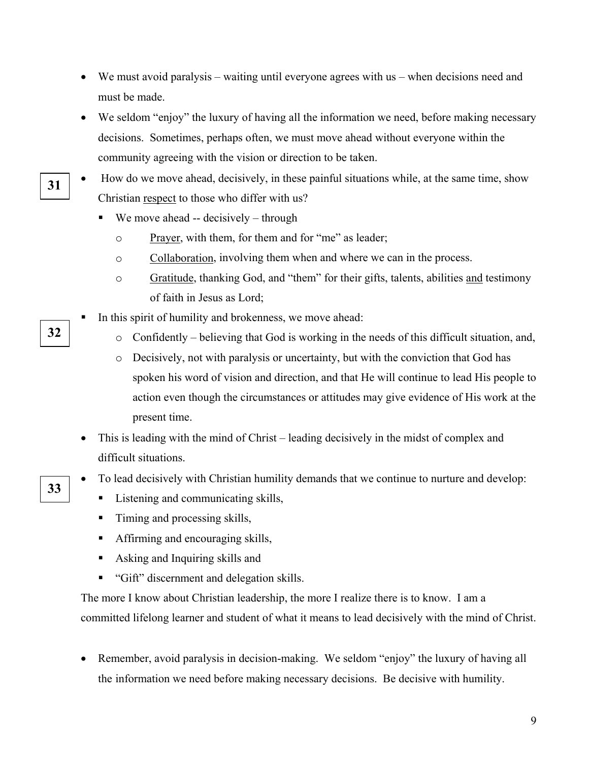- We must avoid paralysis waiting until everyone agrees with us when decisions need and must be made.
- We seldom "enjoy" the luxury of having all the information we need, before making necessary decisions. Sometimes, perhaps often, we must move ahead without everyone within the community agreeing with the vision or direction to be taken.
- How do we move ahead, decisively, in these painful situations while, at the same time, show Christian respect to those who differ with us? **31** 
	- $\blacksquare$  We move ahead -- decisively through
		- o Prayer, with them, for them and for "me" as leader;
		- o Collaboration, involving them when and where we can in the process.
		- o Gratitude, thanking God, and "them" for their gifts, talents, abilities and testimony of faith in Jesus as Lord;
	- In this spirit of humility and brokenness, we move ahead:
- **32 o** Confidently believing that God is working in the needs of this difficult situation, and,
	- o Decisively, not with paralysis or uncertainty, but with the conviction that God has spoken his word of vision and direction, and that He will continue to lead His people to action even though the circumstances or attitudes may give evidence of His work at the present time.
	- This is leading with the mind of Christ leading decisively in the midst of complex and difficult situations.
- To lead decisively with Christian humility demands that we continue to nurture and develop:<br>**33** 
	- Listening and communicating skills,
	- Timing and processing skills,
	- Affirming and encouraging skills,
	- Asking and Inquiring skills and
	- "Gift" discernment and delegation skills.

The more I know about Christian leadership, the more I realize there is to know. I am a committed lifelong learner and student of what it means to lead decisively with the mind of Christ.

• Remember, avoid paralysis in decision-making. We seldom "enjoy" the luxury of having all the information we need before making necessary decisions. Be decisive with humility.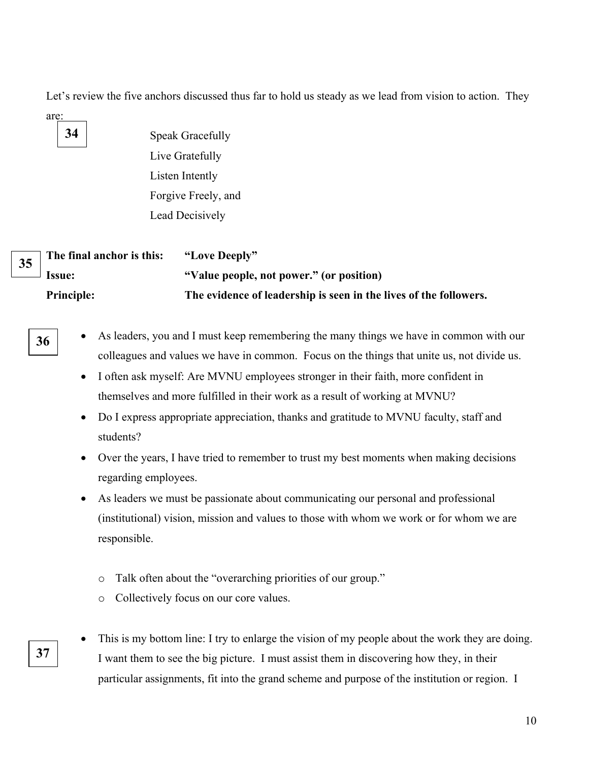Let's review the five anchors discussed thus far to hold us steady as we lead from vision to action. They

are: **34** 

 Speak Gracefully Live Gratefully Listen Intently Forgive Freely, and Lead Decisively

|  | $\overline{35}$ The final anchor is this: | "Love Deeply"                                                     |
|--|-------------------------------------------|-------------------------------------------------------------------|
|  | $\equiv$ Issue:                           | "Value people, not power." (or position)                          |
|  | <b>Principle:</b>                         | The evidence of leadership is seen in the lives of the followers. |



**37** 

**36** • As leaders, you and I must keep remembering the many things we have in common with our colleagues and values we have in common. Focus on the things that unite us, not divide us.

- I often ask myself: Are MVNU employees stronger in their faith, more confident in themselves and more fulfilled in their work as a result of working at MVNU?
- Do I express appropriate appreciation, thanks and gratitude to MVNU faculty, staff and students?
- Over the years, I have tried to remember to trust my best moments when making decisions regarding employees.
- As leaders we must be passionate about communicating our personal and professional (institutional) vision, mission and values to those with whom we work or for whom we are responsible.
	- o Talk often about the "overarching priorities of our group."
	- o Collectively focus on our core values.
- This is my bottom line: I try to enlarge the vision of my people about the work they are doing. I want them to see the big picture. I must assist them in discovering how they, in their particular assignments, fit into the grand scheme and purpose of the institution or region. I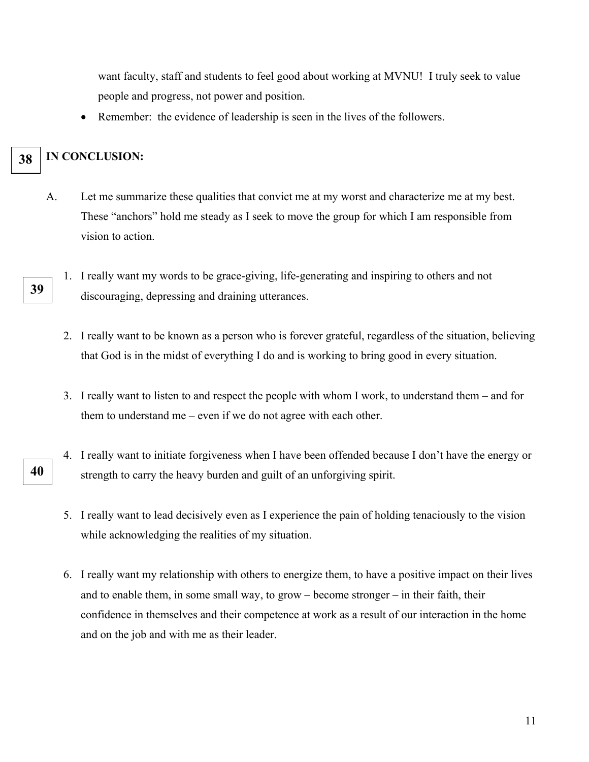want faculty, staff and students to feel good about working at MVNU! I truly seek to value people and progress, not power and position.

• Remember: the evidence of leadership is seen in the lives of the followers.

## **38 IN CONCLUSION:**

- A. Let me summarize these qualities that convict me at my worst and characterize me at my best. These "anchors" hold me steady as I seek to move the group for which I am responsible from vision to action.
- 1. I really want my words to be grace-giving, life-generating and inspiring to others and not **39** discouraging, depressing and draining utterances.
	- 2. I really want to be known as a person who is forever grateful, regardless of the situation, believing that God is in the midst of everything I do and is working to bring good in every situation.
	- 3. I really want to listen to and respect the people with whom I work, to understand them and for them to understand me – even if we do not agree with each other.
- 4. I really want to initiate forgiveness when I have been offended because I don't have the energy or strength to carry the heavy burden and guilt of an unforgiving spirit. **40** 
	- 5. I really want to lead decisively even as I experience the pain of holding tenaciously to the vision while acknowledging the realities of my situation.
	- 6. I really want my relationship with others to energize them, to have a positive impact on their lives and to enable them, in some small way, to grow – become stronger – in their faith, their confidence in themselves and their competence at work as a result of our interaction in the home and on the job and with me as their leader.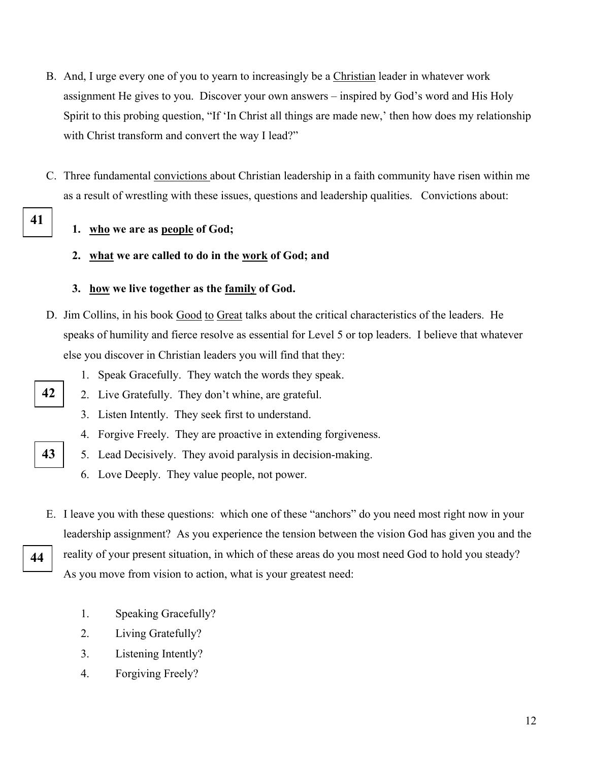- B. And, I urge every one of you to yearn to increasingly be a Christian leader in whatever work assignment He gives to you. Discover your own answers – inspired by God's word and His Holy Spirit to this probing question, "If 'In Christ all things are made new,' then how does my relationship with Christ transform and convert the way I lead?"
- C. Three fundamental convictions about Christian leadership in a faith community have risen within me as a result of wrestling with these issues, questions and leadership qualities. Convictions about:
- **41**

## **1. who we are as people of God;**

**2. what we are called to do in the work of God; and** 

## **3. how we live together as the family of God.**

- D. Jim Collins, in his book Good to Great talks about the critical characteristics of the leaders. He speaks of humility and fierce resolve as essential for Level 5 or top leaders. I believe that whatever else you discover in Christian leaders you will find that they:
	- 1. Speak Gracefully. They watch the words they speak.
- **42** | 2. Live Gratefully. They don't whine, are grateful.
	- 3. Listen Intently. They seek first to understand.
	- 4. Forgive Freely. They are proactive in extending forgiveness.
- **43 5.** Lead Decisively. They avoid paralysis in decision-making.
	- 6. Love Deeply. They value people, not power.
- E. I leave you with these questions: which one of these "anchors" do you need most right now in your leadership assignment? As you experience the tension between the vision God has given you and the reality of your present situation, in which of these areas do you most need God to hold you steady? As you move from vision to action, what is your greatest need:
	- 1. Speaking Gracefully?
	- 2. Living Gratefully?
	- 3. Listening Intently?
	- 4. Forgiving Freely?

**44**